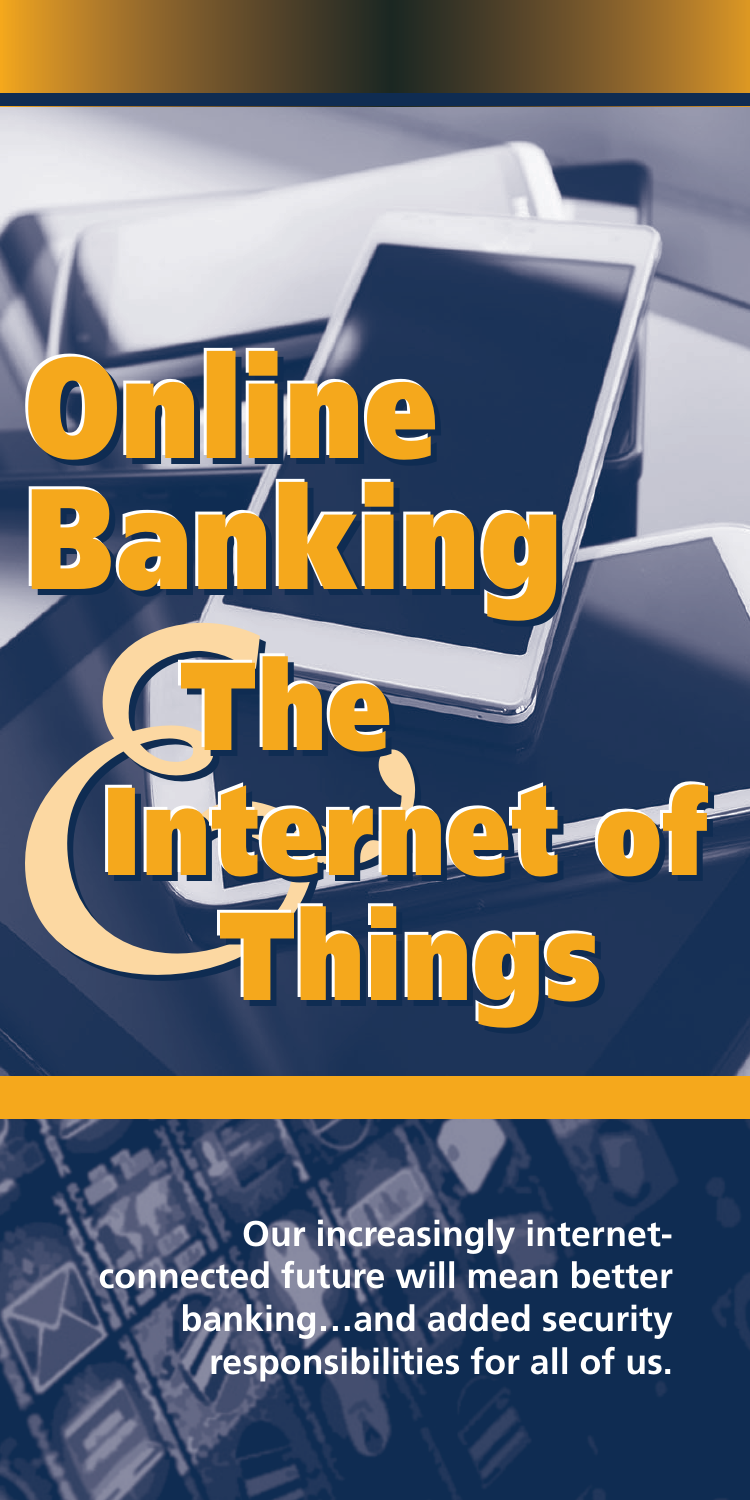

**Our increasingly internetconnected future will mean better banking…and added security responsibilities for all of us.**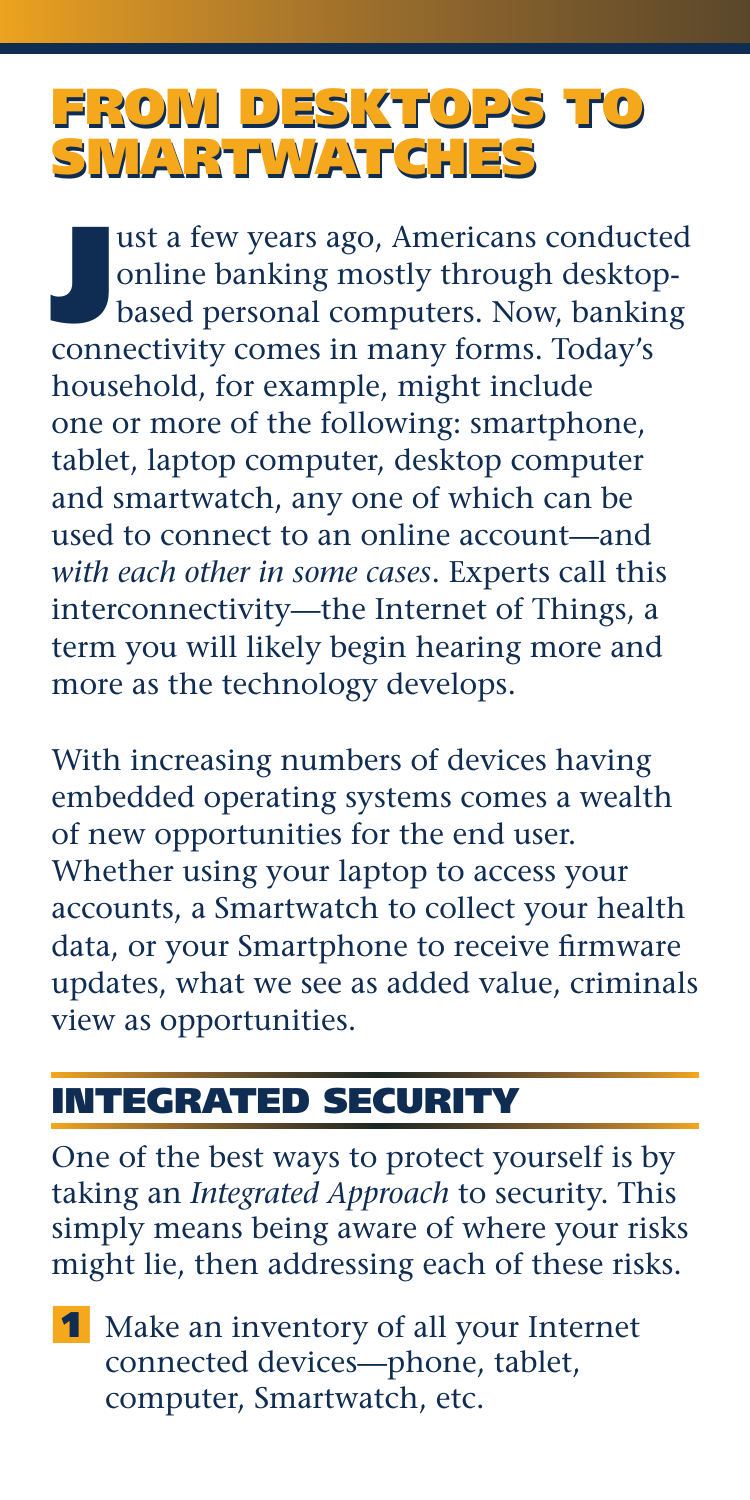# FROM DESKTOPS TO FROM DESKTOPS TO SMARTWATCHES SMARTWATCHES

ust a few years ago, Americans conduct<br>
online banking mostly through desktop<br>
based personal computers. Now, bankin<br>
connectivity comes in many forms. Today's ust a few years ago, Americans conducted online banking mostly through desktopbased personal computers. Now, banking household, for example, might include one or more of the following: smartphone, tablet, laptop computer, desktop computer and smartwatch, any one of which can be used to connect to an online account—and *with each other in some cases*. Experts call this interconnectivity—the Internet of Things, a term you will likely begin hearing more and more as the technology develops.

With increasing numbers of devices having embedded operating systems comes a wealth of new opportunities for the end user. Whether using your laptop to access your accounts, a Smartwatch to collect your health data, or your Smartphone to receive firmware updates, what we see as added value, criminals view as opportunities.

# INTEGRATED SECURITY

One of the best ways to protect yourself is by taking an *Integrated Approach* to security. This simply means being aware of where your risks might lie, then addressing each of these risks.

1 Make an inventory of all your Internet connected devices—phone, tablet, computer, Smartwatch, etc.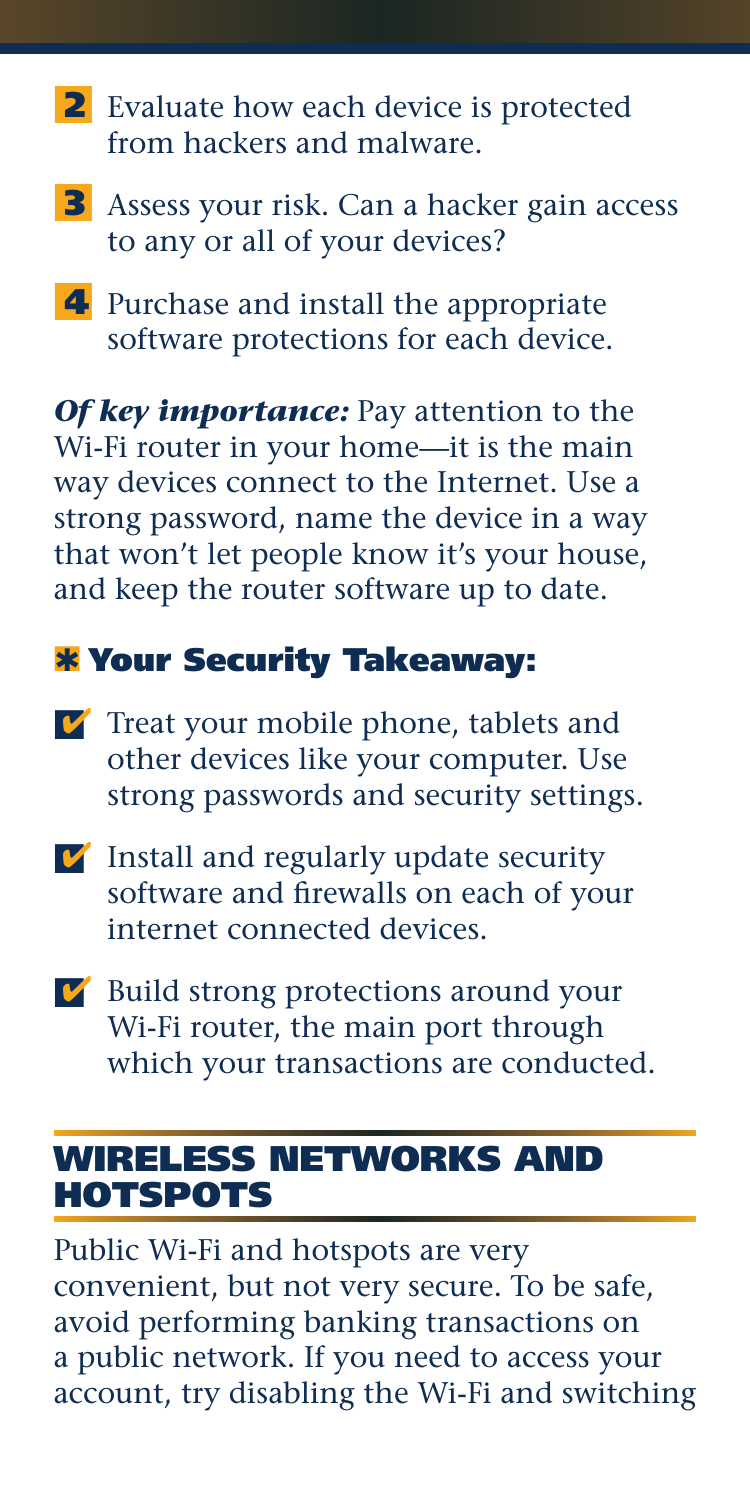- 2 Evaluate how each device is protected from hackers and malware.
- **3** Assess your risk. Can a hacker gain access to any or all of your devices?
- 4 Purchase and install the appropriate software protections for each device.

*Of key importance:* Pay attention to the Wi-Fi router in your home—it is the main way devices connect to the Internet. Use a strong password, name the device in a way that won't let people know it's your house, and keep the router software up to date.

# **\*** Your Security Takeaway:

- $\triangledown$  Treat your mobile phone, tablets and other devices like your computer. Use strong passwords and security settings.
- $\triangledown$  Install and regularly update security software and firewalls on each of your internet connected devices.
- **■** Build strong protections around your Wi-Fi router, the main port through which your transactions are conducted.

#### WIRELESS NETWORKS AND HOTSPOTS

Public Wi-Fi and hotspots are very convenient, but not very secure. To be safe, avoid performing banking transactions on a public network. If you need to access your account, try disabling the Wi-Fi and switching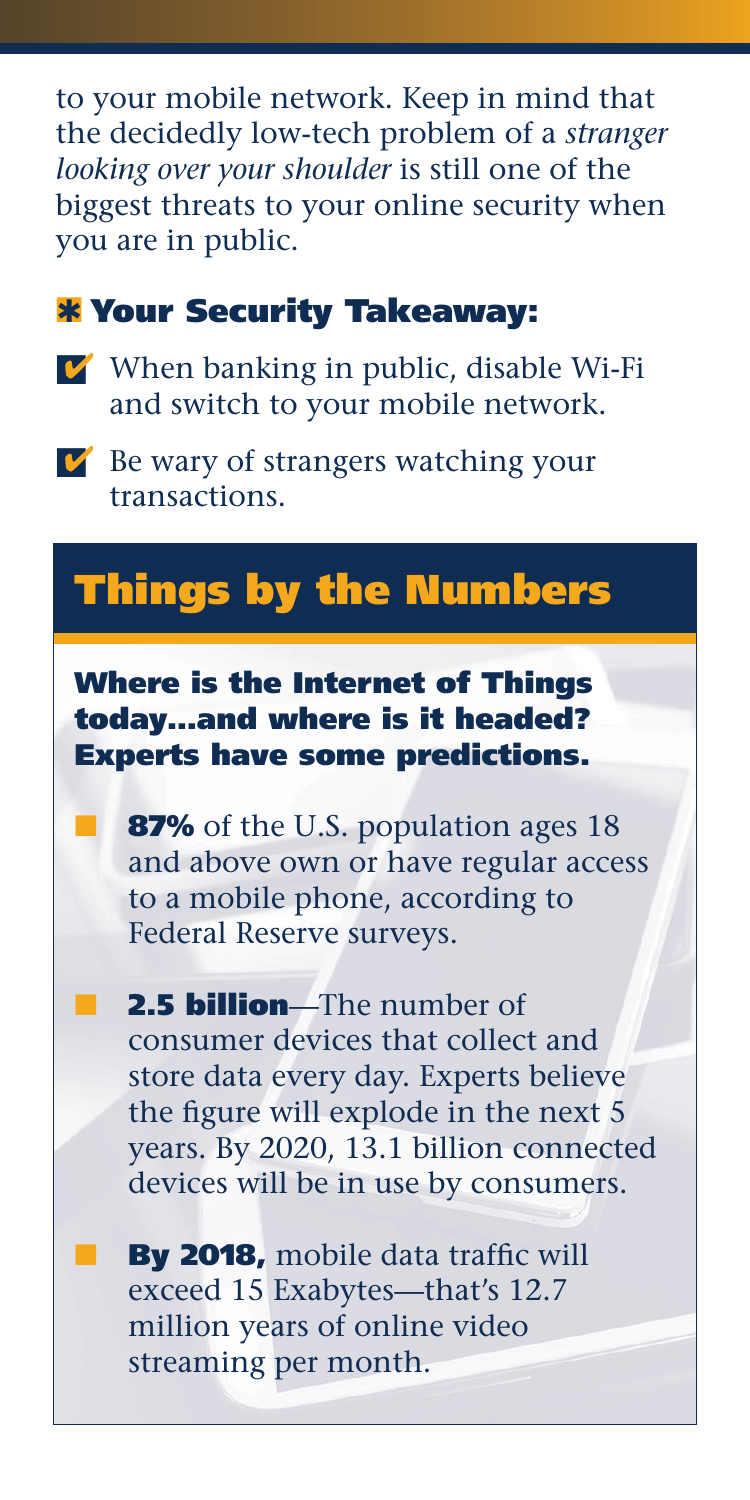to your mobile network. Keep in mind that the decidedly low-tech problem of a *stranger looking over your shoulder* is still one of the biggest threats to your online security when you are in public.

#### **\*** Your Security Takeaway:

- $\triangledown$  When banking in public, disable Wi-Fi and switch to your mobile network.
- $\triangleright$  Be wary of strangers watching your transactions.

# Things by the Numbers

Where is the Internet of Things today…and where is it headed? Experts have some predictions.

87% of the U.S. population ages 18 and above own or have regular access to a mobile phone, according to Federal Reserve surveys.

2.5 **billion**—The number of consumer devices that collect and store data every day. Experts believe the figure will explode in the next 5 years. By 2020, 13.1 billion connected devices will be in use by consumers.

By 2018, mobile data traffic will exceed 15 Exabytes—that's 12.7 million years of online video streaming per month.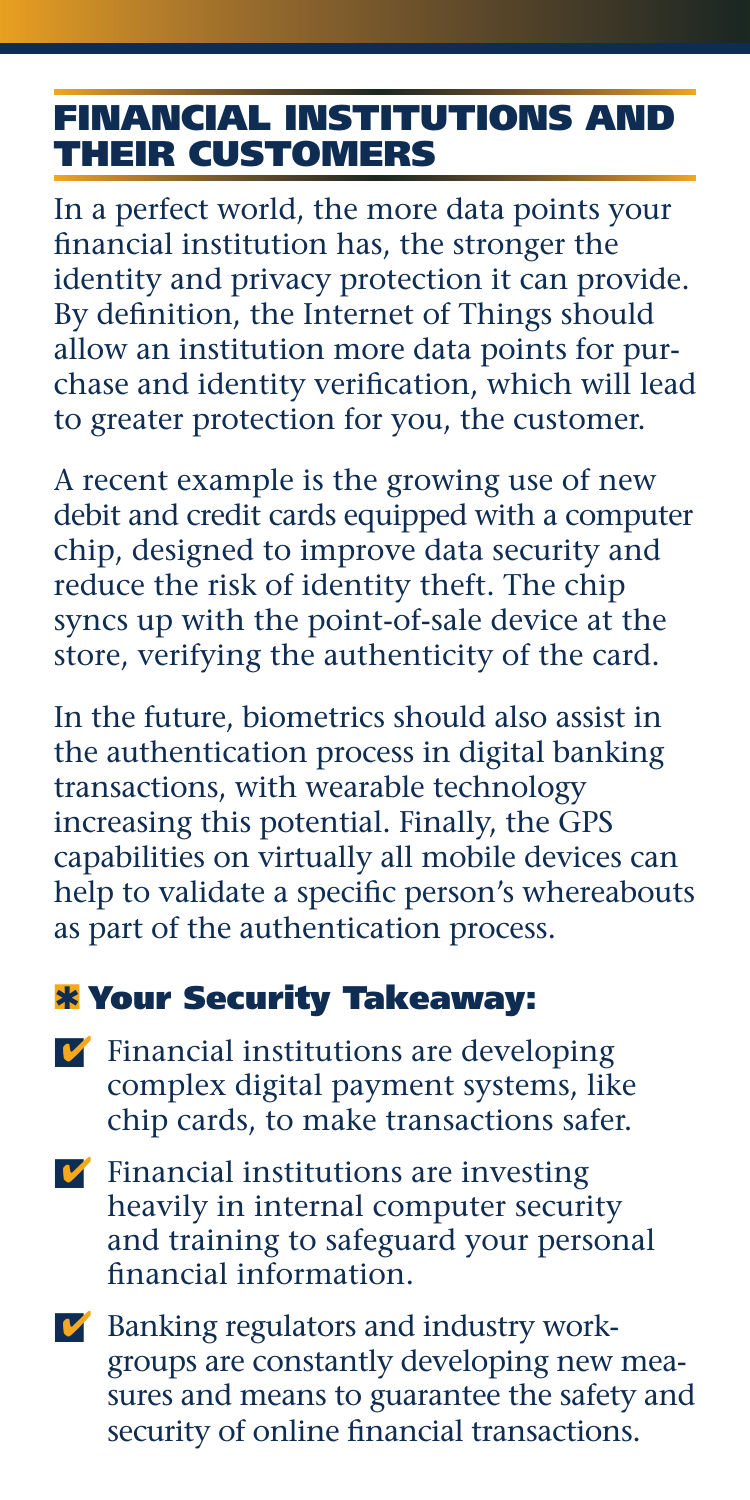# FINANCIAL INSTITUTIONS AND THEIR CUSTOMERS

In a perfect world, the more data points your financial institution has, the stronger the identity and privacy protection it can provide. By definition, the Internet of Things should allow an institution more data points for purchase and identity verification, which will lead to greater protection for you, the customer.

A recent example is the growing use of new debit and credit cards equipped with a computer chip, designed to improve data security and reduce the risk of identity theft. The chip syncs up with the point-of-sale device at the store, verifying the authenticity of the card.

In the future, biometrics should also assist in the authentication process in digital banking transactions, with wearable technology increasing this potential. Finally, the GPS capabilities on virtually all mobile devices can help to validate a specific person's whereabouts as part of the authentication process.

#### **\*** Your Security Takeaway:

- $\triangledown$  Financial institutions are developing complex digital payment systems, like chip cards, to make transactions safer.
- $\triangledown$  Financial institutions are investing heavily in internal computer security and training to safeguard your personal financial information.
- $\triangledown$  Banking regulators and industry workgroups are constantly developing new measures and means to guarantee the safety and security of online financial transactions.